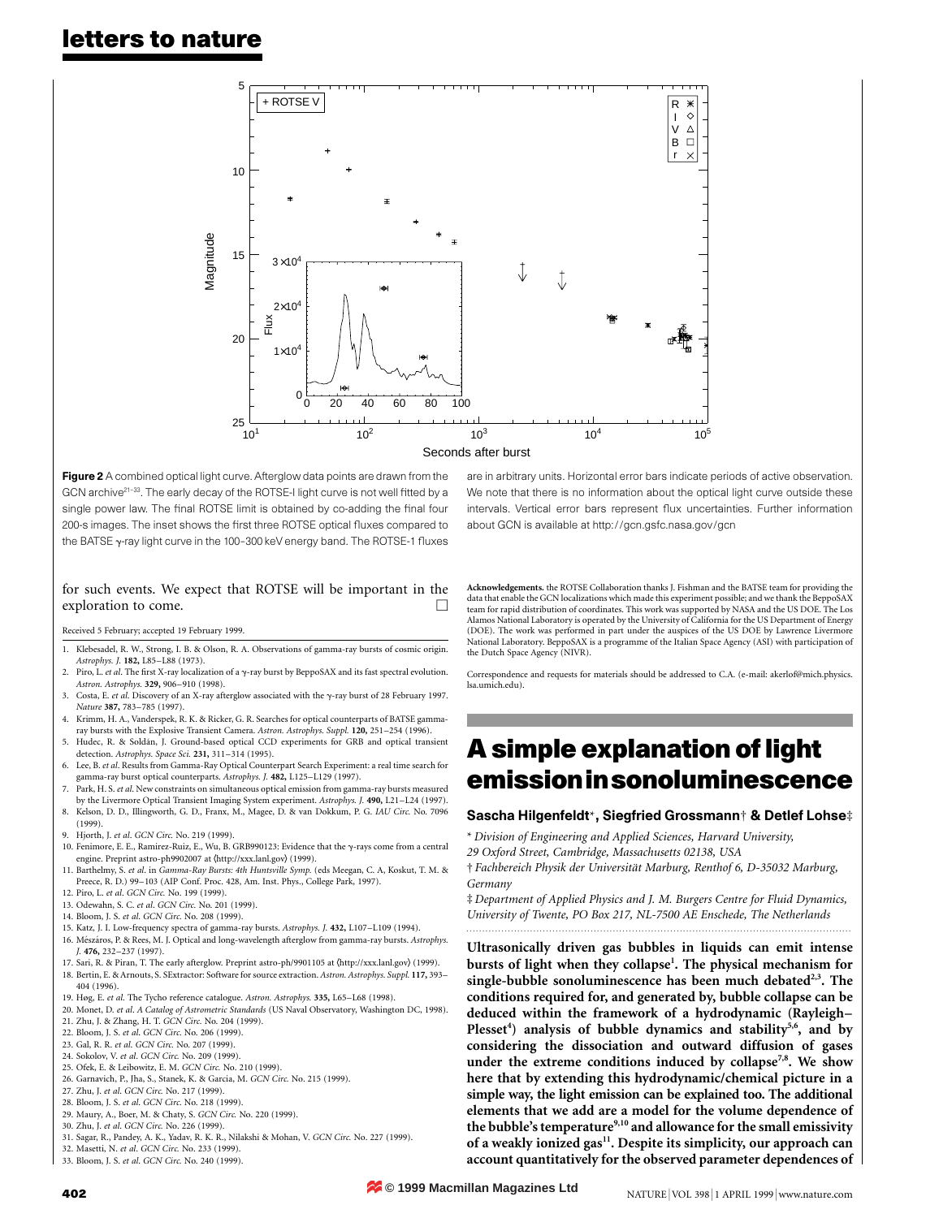## letters to nature



Figure 2 A combined optical light curve. Afterglow data points are drawn from the GCN archive $^{21-33}$ . The early decay of the ROTSE-I light curve is not well fitted by a single power law. The final ROTSE limit is obtained by co-adding the final four 200-s images. The inset shows the first three ROTSE optical fluxes compared to the BATSE  $\gamma$ -ray light curve in the 100-300 keV energy band. The ROTSE-1 fluxes

### for such events. We expect that ROTSE will be important in the exploration to come.  $\Box$

#### Received 5 February; accepted 19 February 1999.

- 1. Klebesadel, R. W., Strong, I. B. & Olson, R. A. Observations of gamma-ray bursts of cosmic origin. Astrophys. J. 182, L85-L88 (1973).
- 2. Piro, L. et al. The first X-ray localization of a  $\gamma$ -ray burst by BeppoSAX and its fast spectral evolution Astron. Astrophys. 329, 906-910 (1998).
- 3. Costa, E. et al. Discovery of an X-ray afterglow associated with the  $\gamma$ -ray burst of 28 February 1997 Nature 387, 783-785 (1997).
- 4. Krimm, H. A., Vanderspek, R. K. & Ricker, G. R. Searches for optical counterparts of BATSE gammaray bursts with the Explosive Transient Camera. Astron. Astrophys. Suppl. 120, 251-254 (1996).
- Hudec, R. & Soldán, J. Ground-based optical CCD experiments for GRB and optical transient detection. Astrophys. Space Sci. 231, 311-314 (1995).
- 6. Lee, B. et al. Results from Gamma-Ray Optical Counterpart Search Experiment: a real time search for gamma-ray burst optical counterparts. Astrophys. J. 482, L125-L129 (1997).
- Park, H. S. et al. New constraints on simultaneous optical emission from gamma-ray bursts measured by the Livermore Optical Transient Imaging System experiment. Astrophys. J. 490, L21-L24 (1997). 8. Kelson, D. D., Illingworth, G. D., Franx, M., Magee, D. & van Dokkum, P. G. IAU Circ. No. 7096
- (1999).
- Hjorth, J. et al. GCN Circ. No. 219 (1999).
- 10. Fenimore, E. E., Ramirez-Ruiz, E., Wu, B. GRB990123: Evidence that the  $\gamma$ -rays come from a central engine. Preprint astro-ph9902007 at  $\langle$ http://xxx.lanl.gov $\rangle$  (1999).
- 11. Barthelmy, S. et al. in Gamma-Ray Bursts: 4th Huntsville Symp. (eds Meegan, C. A, Koskut, T. M. & Preece, R. D.) 99-103 (AIP Conf. Proc. 428, Am. Inst. Phys., College Park, 1997).
- 12. Piro, L. et al. GCN Circ. No. 199 (1999).
- 13. Odewahn, S. C. et al. GCN Circ. No. 201 (1999).
- 14. Bloom, J. S. et al. GCN Circ. No. 208 (1999).
- 15. Katz, J. I. Low-frequency spectra of gamma-ray bursts. Astrophys. J. 432, L107-L109 (1994). 16. Mészáros, P. & Rees, M. J. Optical and long-wavelength afterglow from gamma-ray bursts. Astrophys
- I. 476, 232-237 (1997). 17. Sari, R. & Piran, T. The early afterglow. Preprint astro-ph/9901105 at  $\langle$ http://xxx.lanl.gov $\rangle$  (1999).
- 18. Bertin, E. & Arnouts, S. SExtractor: Software for source extraction. Astron. Astrophys. Suppl. 117, 393-404 (1996).
- 19. Høg, E. et al. The Tycho reference catalogue. Astron. Astrophys. 335, L65-L68 (1998).
- 20. Monet, D. et al. A Catalog of Astrometric Standards (US Naval Observatory, Washington DC, 1998).
- 21. Zhu, J. & Zhang, H. T. GCN Circ. No. 204 (1999).
- 22. Bloom, J. S. et al. GCN Circ. No. 206 (1999). 23. Gal, R. R. et al. GCN Circ. No. 207 (1999).
- 24. Sokolov, V. et al. GCN Circ. No. 209 (1999).
- 25. Ofek, E. & Leibowitz, E. M. GCN Circ. No. 210 (1999).
- 26. Garnavich, P., Jha, S., Stanek, K. & Garcia, M. GCN Circ. No. 215 (1999).
- 27. Zhu, J. et al. GCN Circ. No. 217 (1999).
- 28. Bloom, J. S. et al. GCN Circ. No. 218 (1999).
- 29. Maury, A., Boer, M. & Chaty, S. GCN Circ. No. 220 (1999).
- 30. Zhu, J. et al. GCN Circ. No. 226 (1999).
- 31. Sagar, R., Pandey, A. K., Yadav, R. K. R., Nilakshi & Mohan, V. GCN Circ. No. 227 (1999).
- 32. Masetti, N. et al. GCN Circ. No. 233 (1999).

33. Bloom, J. S. et al. GCN Circ. No. 240 (1999).

are in arbitrary units. Horizontal error bars indicate periods of active observation. We note that there is no information about the optical light curve outside these intervals. Vertical error bars represent flux uncertainties. Further information about GCN is available at http://gcn.gsfc.nasa.gov/gcn

Acknowledgements. the ROTSE Collaboration thanks J. Fishman and the BATSE team for providing the data that enable the GCN localizations which made this experiment possible; and we thank the BeppoSAX team for rapid distribution of coordinates. This work was supported by NASA and the US DOE. The Los Alamos National Laboratory is operated by the University of California for the US Department of Energy (DOE). The work was performed in part under the auspices of the US DOE by Lawrence Livermore National Laboratory. BeppoSAX is a programme of the Italian Space Agency (ASI) with participation of the Dutch Space Agency (NIVR).

Correspondence and requests for materials should be addressed to C.A. (e-mail: akerlof@mich.physics. lsa.umich.edu).

# A simple explanation of light emissioninsonoluminescence

#### Sascha Hilgenfeldt\*, Siegfried Grossmann† & Detlef Lohse‡

\* Division of Engineering and Applied Sciences, Harvard University,

29 Oxford Street, Cambridge, Massachusetts 02138, USA

 $\dagger$  Fachbereich Physik der Universität Marburg, Renthof 6, D-35032 Marburg, Germany

 $\ddagger$  Department of Applied Physics and J. M. Burgers Centre for Fluid Dynamics, University of Twente, PO Box 217, NL-7500 AE Enschede, The Netherlands .........................................................................................................................

Ultrasonically driven gas bubbles in liquids can emit intense bursts of light when they collapse<sup>1</sup>. The physical mechanism for single-bubble sonoluminescence has been much debated $2,3$ . The conditions required for, and generated by, bubble collapse can be deduced within the framework of a hydrodynamic (Rayleigh-Plesset<sup>4</sup>) analysis of bubble dynamics and stability<sup>5,6</sup>, and by considering the dissociation and outward diffusion of gases under the extreme conditions induced by collapse<sup>7,8</sup>. We show here that by extending this hydrodynamic/chemical picture in a simple way, the light emission can be explained too. The additional elements that we add are a model for the volume dependence of the bubble's temperature<sup>9,10</sup> and allowance for the small emissivity of a weakly ionized gas<sup>11</sup>. Despite its simplicity, our approach can account quantitatively for the observed parameter dependences of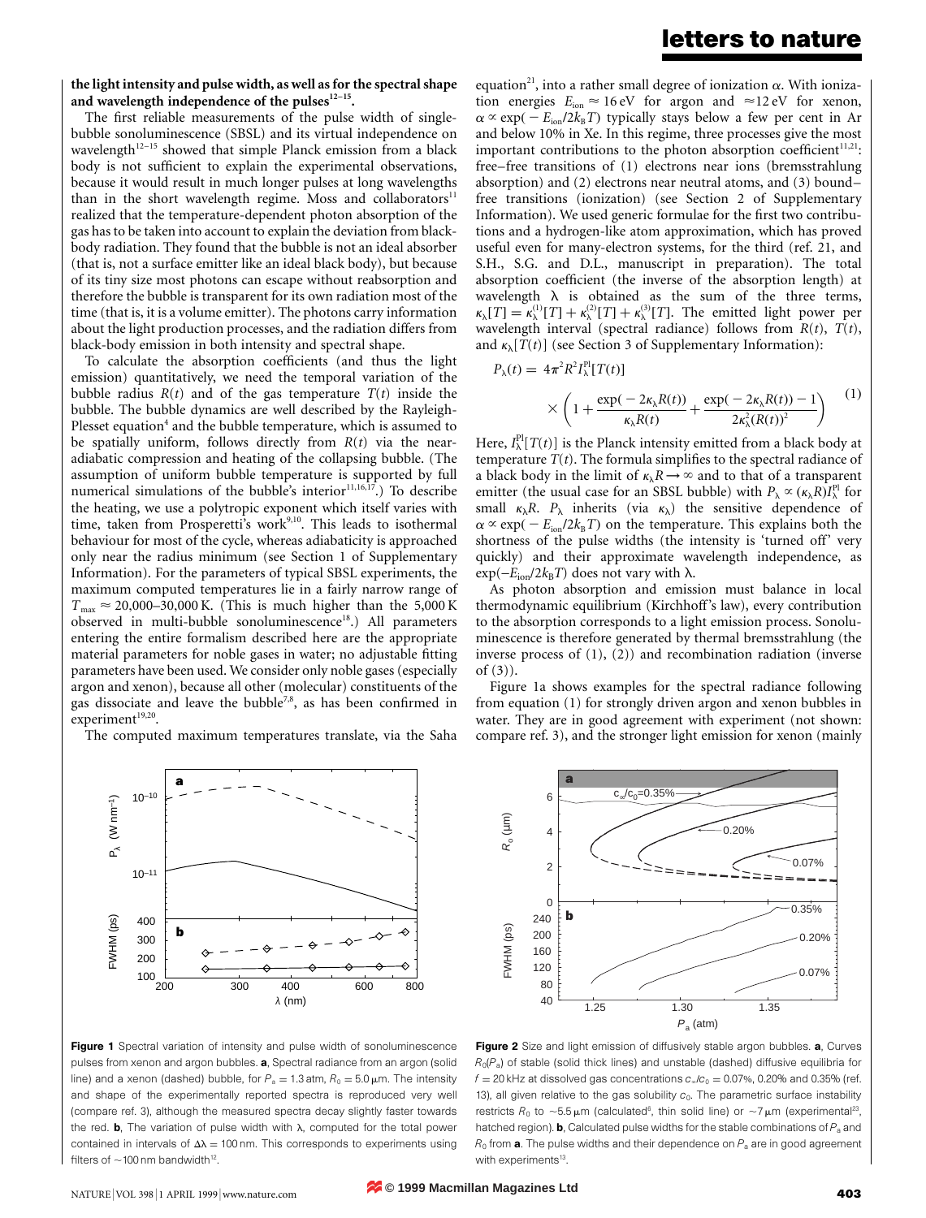### letters to nature

the light intensity and pulse width, as well as for the spectral shape and wavelength independence of the pulses $12-15$ .

The first reliable measurements of the pulse width of singlebubble sonoluminescence (SBSL) and its virtual independence on wavelength<sup>12-15</sup> showed that simple Planck emission from a black body is not sufficient to explain the experimental observations, because it would result in much longer pulses at long wavelengths than in the short wavelength regime. Moss and collaborators<sup>11</sup> realized that the temperature-dependent photon absorption of the gas has to be taken into account to explain the deviation from blackbody radiation. They found that the bubble is not an ideal absorber (that is, not a surface emitter like an ideal black body), but because of its tiny size most photons can escape without reabsorption and therefore the bubble is transparent for its own radiation most of the time (that is, it is a volume emitter). The photons carry information about the light production processes, and the radiation differs from black-body emission in both intensity and spectral shape.

To calculate the absorption coefficients (and thus the light emission) quantitatively, we need the temporal variation of the bubble radius  $R(t)$  and of the gas temperature  $T(t)$  inside the bubble. The bubble dynamics are well described by the Rayleigh-Plesset equation<sup>4</sup> and the bubble temperature, which is assumed to be spatially uniform, follows directly from  $R(t)$  via the nearadiabatic compression and heating of the collapsing bubble. (The assumption of uniform bubble temperature is supported by full numerical simulations of the bubble's interior<sup>11,16,17</sup>.) To describe the heating, we use a polytropic exponent which itself varies with time, taken from Prosperetti's work<sup>9,10</sup>. This leads to isothermal behaviour for most of the cycle, whereas adiabaticity is approached only near the radius minimum (see Section 1 of Supplementary Information). For the parameters of typical SBSL experiments, the maximum computed temperatures lie in a fairly narrow range of  $T_{\text{max}} \approx 20,000-30,000 \text{ K}$ . (This is much higher than the 5,000 K observed in multi-bubble sonoluminescence<sup>18</sup>.) All parameters entering the entire formalism described here are the appropriate material parameters for noble gases in water; no adjustable fitting parameters have been used. We consider only noble gases (especially argon and xenon), because all other (molecular) constituents of the gas dissociate and leave the bubble<sup>7,8</sup>, as has been confirmed in experiment<sup>19,20</sup>.

The computed maximum temperatures translate, via the Saha



200 300 400 600 800 λ (nm)

equation<sup>21</sup>, into a rather small degree of ionization  $\alpha$ . With ionization energies  $E_{\text{ion}} \approx 16 \text{ eV}$  for argon and  $\approx 12 \text{ eV}$  for xenon,  $\alpha \propto \exp(-E_{\text{ion}}/2k_{\text{B}}T)$  typically stays below a few per cent in Ar and below 10% in Xe. In this regime, three processes give the most important contributions to the photon absorption coefficient $11,21$ : free–free transitions of (1) electrons near ions (bremsstrahlung absorption) and  $(2)$  electrons near neutral atoms, and  $(3)$  boundfree transitions (ionization) (see Section 2 of Supplementary Information). We used generic formulae for the first two contributions and a hydrogen-like atom approximation, which has proved useful even for many-electron systems, for the third (ref. 21, and S.H., S.G. and D.L., manuscript in preparation). The total absorption coefficient (the inverse of the absorption length) at wavelength  $\lambda$  is obtained as the sum of the three terms,  $\kappa_{\lambda}[T] = \kappa_{\lambda}^{(1)}[T] + \kappa_{\lambda}^{(2)}[T] + \kappa_{\lambda}^{(3)}[T]$ . The emitted light power per wavelength interval (spectral radiance) follows from  $R(t)$ ,  $T(t)$ , and  $\kappa_{\lambda}[T(t)]$  (see Section 3 of Supplementary Information):

$$
P_{\lambda}(t) = 4\pi^{2} R^{2} I_{\lambda}^{\text{Pl}} [T(t)]
$$
  
 
$$
\times \left(1 + \frac{\exp(-2\kappa_{\lambda}R(t))}{\kappa_{\lambda}R(t)} + \frac{\exp(-2\kappa_{\lambda}R(t)) - 1}{2\kappa_{\lambda}^{2}(R(t))^{2}}\right)
$$
 (1)

Here,  $I^{\text{Pl}}_{\lambda}[T(t)]$  is the Planck intensity emitted from a black body at temperature  $T(t)$ . The formula simplifies to the spectral radiance of a black body in the limit of  $\kappa_\lambda R \to \infty$  and to that of a transparent emitter (the usual case for an SBSL bubble) with  $P_{\lambda} \propto (\kappa_{\lambda} R) I_{\lambda}^{\text{Pl}}$  for small  $\kappa_{\lambda}R$ .  $P_{\lambda}$  inherits (via  $\kappa_{\lambda}$ ) the sensitive dependence of  $\alpha \propto \exp(-E_{\text{ion}}/2k_{\text{B}}T)$  on the temperature. This explains both the shortness of the pulse widths (the intensity is `turned off' very quickly) and their approximate wavelength independence, as  $\exp(-E_{\text{ion}}/2k_BT)$  does not vary with  $\lambda$ .

As photon absorption and emission must balance in local thermodynamic equilibrium (Kirchhoff's law), every contribution to the absorption corresponds to a light emission process. Sonoluminescence is therefore generated by thermal bremsstrahlung (the inverse process of (1), (2)) and recombination radiation (inverse of (3)).

Figure 1a shows examples for the spectral radiance following from equation (1) for strongly driven argon and xenon bubbles in water. They are in good agreement with experiment (not shown: compare ref. 3), and the stronger light emission for xenon (mainly



Figure 2 Size and light emission of diffusively stable argon bubbles. a, Curves  $R_0(P_a)$  of stable (solid thick lines) and unstable (dashed) diffusive equilibria for  $f = 20$  kHz at dissolved gas concentrations  $c_{\infty}/c_0 = 0.07$ %, 0.20% and 0.35% (ref. 13), all given relative to the gas solubility  $c_0$ . The parametric surface instability restricts  $R_0$  to  $\sim$ 5.5 µm (calculated $^{\rm 6}$ , thin solid line) or  $\sim$ 7 µm (experimental $^{\rm 23}$ , hatched region). **b**, Calculated pulse widths for the stable combinations of  $P_a$  and  $R_0$  from **a**. The pulse widths and their dependence on  $P_a$  are in good agreement with experiments<sup>13</sup>.

 $10^{-10}$ 

**a**

**b**

 $10^{-11}$ 

(r) Leu NO < "Les de la leur de la leur de la leur de la leur de la leur de la leur de la leur de la leur de l

 $-WHM$  (ps)

 $\langle P_{\lambda} \rangle$  (W nm<sup>-1</sup>)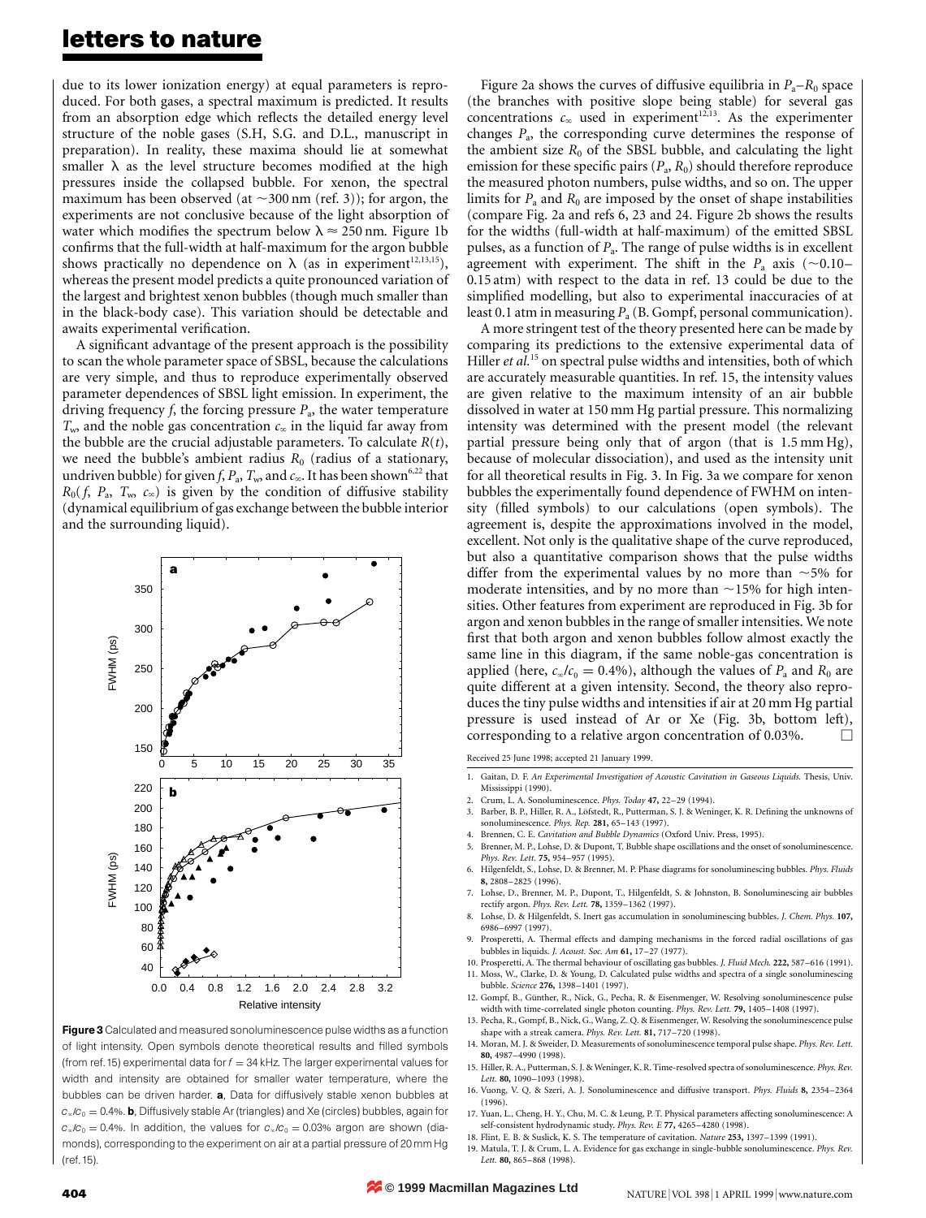### letters to nature

due to its lower ionization energy) at equal parameters is reproduced. For both gases, a spectral maximum is predicted. It results from an absorption edge which reflects the detailed energy level structure of the noble gases (S.H, S.G. and D.L., manuscript in preparation). In reality, these maxima should lie at somewhat smaller  $\lambda$  as the level structure becomes modified at the high pressures inside the collapsed bubble. For xenon, the spectral maximum has been observed (at  $\sim$ 300 nm (ref. 3)); for argon, the experiments are not conclusive because of the light absorption of water which modifies the spectrum below  $\lambda \approx 250$  nm. Figure 1b confirms that the full-width at half-maximum for the argon bubble shows practically no dependence on  $\lambda$  (as in experiment<sup>12,13,15</sup>), whereas the present model predicts a quite pronounced variation of the largest and brightest xenon bubbles (though much smaller than in the black-body case). This variation should be detectable and awaits experimental verification.

A significant advantage of the present approach is the possibility to scan the whole parameter space of SBSL, because the calculations are very simple, and thus to reproduce experimentally observed parameter dependences of SBSL light emission. In experiment, the driving frequency  $f$ , the forcing pressure  $P_a$ , the water temperature  $T_{\rm w}$ , and the noble gas concentration  $c_{\infty}$  in the liquid far away from the bubble are the crucial adjustable parameters. To calculate  $R(t)$ , we need the bubble's ambient radius  $R_0$  (radius of a stationary, undriven bubble) for given f,  $P_a$ ,  $T_w$ , and  $c_\infty$ . It has been shown<sup>6,22</sup> that  $R_0(f, P_a, T_w, c_\infty)$  is given by the condition of diffusive stability (dynamical equilibrium of gas exchange between the bubble interior and the surrounding liquid).



Figure 3 Calculated and measured sonoluminescence pulse widths as a function of light intensity. Open symbols denote theoretical results and filled symbols (from ref. 15) experimental data for  $f = 34$  kHz. The larger experimental values for width and intensity are obtained for smaller water temperature, where the bubbles can be driven harder. a, Data for diffusively stable xenon bubbles at  $c_{\infty}/c_0 = 0.4$ %. **b**, Diffusively stable Ar (triangles) and Xe (circles) bubbles, again for  $c_{\infty}/c_0 = 0.4$ %. In addition, the values for  $c_{\infty}/c_0 = 0.03$ % argon are shown (diamonds), corresponding to the experiment on air at a partial pressure of 20 mm Hg (ref. 15).

Figure 2a shows the curves of diffusive equilibria in  $P_a-R_0$  space (the branches with positive slope being stable) for several gas concentrations  $c_{\infty}$  used in experiment<sup>12,13</sup>. As the experimenter changes  $P_a$ , the corresponding curve determines the response of the ambient size  $R_0$  of the SBSL bubble, and calculating the light emission for these specific pairs  $(P_a, R_0)$  should therefore reproduce the measured photon numbers, pulse widths, and so on. The upper limits for  $P_a$  and  $R_0$  are imposed by the onset of shape instabilities (compare Fig. 2a and refs 6, 23 and 24. Figure 2b shows the results for the widths (full-width at half-maximum) of the emitted SBSL pulses, as a function of  $P_a$ . The range of pulse widths is in excellent agreement with experiment. The shift in the  $P_a$  axis (~0.10– 0.15 atm) with respect to the data in ref. 13 could be due to the simplified modelling, but also to experimental inaccuracies of at least 0.1 atm in measuring  $P_a$  (B. Gompf, personal communication).

A more stringent test of the theory presented here can be made by comparing its predictions to the extensive experimental data of Hiller et al.<sup>15</sup> on spectral pulse widths and intensities, both of which are accurately measurable quantities. In ref. 15, the intensity values are given relative to the maximum intensity of an air bubble dissolved in water at 150 mm Hg partial pressure. This normalizing intensity was determined with the present model (the relevant partial pressure being only that of argon (that is 1.5 mm Hg), because of molecular dissociation), and used as the intensity unit for all theoretical results in Fig. 3. In Fig. 3a we compare for xenon bubbles the experimentally found dependence of FWHM on intensity (filled symbols) to our calculations (open symbols). The agreement is, despite the approximations involved in the model, excellent. Not only is the qualitative shape of the curve reproduced, but also a quantitative comparison shows that the pulse widths differ from the experimental values by no more than  $\sim$  5% for moderate intensities, and by no more than  $\sim$ 15% for high intensities. Other features from experiment are reproduced in Fig. 3b for argon and xenon bubbles in the range of smaller intensities. We note first that both argon and xenon bubbles follow almost exactly the same line in this diagram, if the same noble-gas concentration is applied (here,  $c_{\infty}/c_0 = 0.4\%$ ), although the values of  $P_a$  and  $R_0$  are quite different at a given intensity. Second, the theory also reproduces the tiny pulse widths and intensities if air at 20 mm Hg partial pressure is used instead of Ar or Xe (Fig. 3b, bottom left), corresponding to a relative argon concentration of 0.03%.  $\Box$ 

Received 25 June 1998; accepted 21 January 1999.

- 1. Gaitan, D. F. An Experimental Investigation of Acoustic Cavitation in Gaseous Liquids. Thesis, Univ. Mississippi (1990).
- 2. Crum, L. A. Sonoluminescence. *Phys. Today* 47, 22–29 (1994).<br>3. Barber. B. P., Hiller. R. A., Löfstedt. R., Putterman, S. I. & Weni
- Barber, B. P., Hiller, R. A., Löfstedt, R., Putterman, S. J. & Weninger, K. R. Defining the unknowns of sonoluminescence. Phys. Rep. 281, 65-143 (1997).
- 4. Brennen, C. E. Cavitation and Bubble Dynamics (Oxford Univ. Press, 1995). 5. Brenner, M. P., Lohse, D. & Dupont, T. Bubble shape oscillations and the onset of sonoluminescence. Phys. Rev. Lett. 75, 954-957 (1995).
- 6. Hilgenfeldt, S., Lohse, D. & Brenner, M. P. Phase diagrams for sonoluminescing bubbles. Phys. Fluids 8, 2808±2825 (1996).
- 7. Lohse, D., Brenner, M. P., Dupont, T., Hilgenfeldt, S. & Johnston, B. Sonoluminescing air bubbles rectify argon. Phys. Rev. Lett. 78, 1359-1362 (1997).
- 8. Lohse, D. & Hilgenfeldt, S. Inert gas accumulation in sonoluminescing bubbles. J. Chem. Phys. 107, 6986±6997 (1997).
- 9. Prosperetti, A. Thermal effects and damping mechanisms in the forced radial oscillations of gas bubbles in liquids. *J. Acoust. Soc. Am* 61, 17-27 (1977).
- 10. Prosperetti, A. The thermal behaviour of oscillating gas bubbles. J. Fluid Mech. 222, 587-616 (1991). 11. Moss, W., Clarke, D. & Young, D. Calculated pulse widths and spectra of a single sonoluminescing bubble. Science 276, 1398-1401 (1997).
- 12. Gompf, B., Günther, R., Nick, G., Pecha, R. & Eisenmenger, W. Resolving sonoluminescence pul width with time-correlated single photon counting. Phys. Rev. Lett. 79, 1405-1408 (1997).
- 13. Pecha, R., Gompf, B., Nick, G., Wang, Z. Q. & Eisenmenger, W. Resolving the sonoluminescence pulse shape with a streak camera. Phys. Rev. Lett. 81, 717-720 (1998).
- 14. Moran, M. J. & Sweider, D. Measurements of sonoluminescence temporal pulse shape. Phys. Rev. Lett. 80, 4987-4990 (1998).
- 15. Hiller, R. A., Putterman, S. J. & Weninger, K. R. Time-resolved spectra of sonoluminescence. Phys. Rev. Lett. 80, 1090=1093 (1998).
- 16. Vuong, V. Q. & Szeri, A. J. Sonoluminescence and diffusive transport. Phys. Fluids 8, 2354-2364 (1996).

17. Yuan, L., Cheng, H. Y., Chu, M. C. & Leung, P. T. Physical parameters affecting sonoluminescence: A self-consistent hydrodynamic study. Phys. Rev. E 77, 4265-4280 (1998).

- 18. Flint, E. B. & Suslick, K. S. The temperature of cavitation. Nature 253, 1397-1399 (1991). 19. Matula, T. J. & Crum, L. A. Evidence for gas exchange in single-bubble sonoluminescence. Phys. Rev.
- Lett. 80, 865-868 (1998).